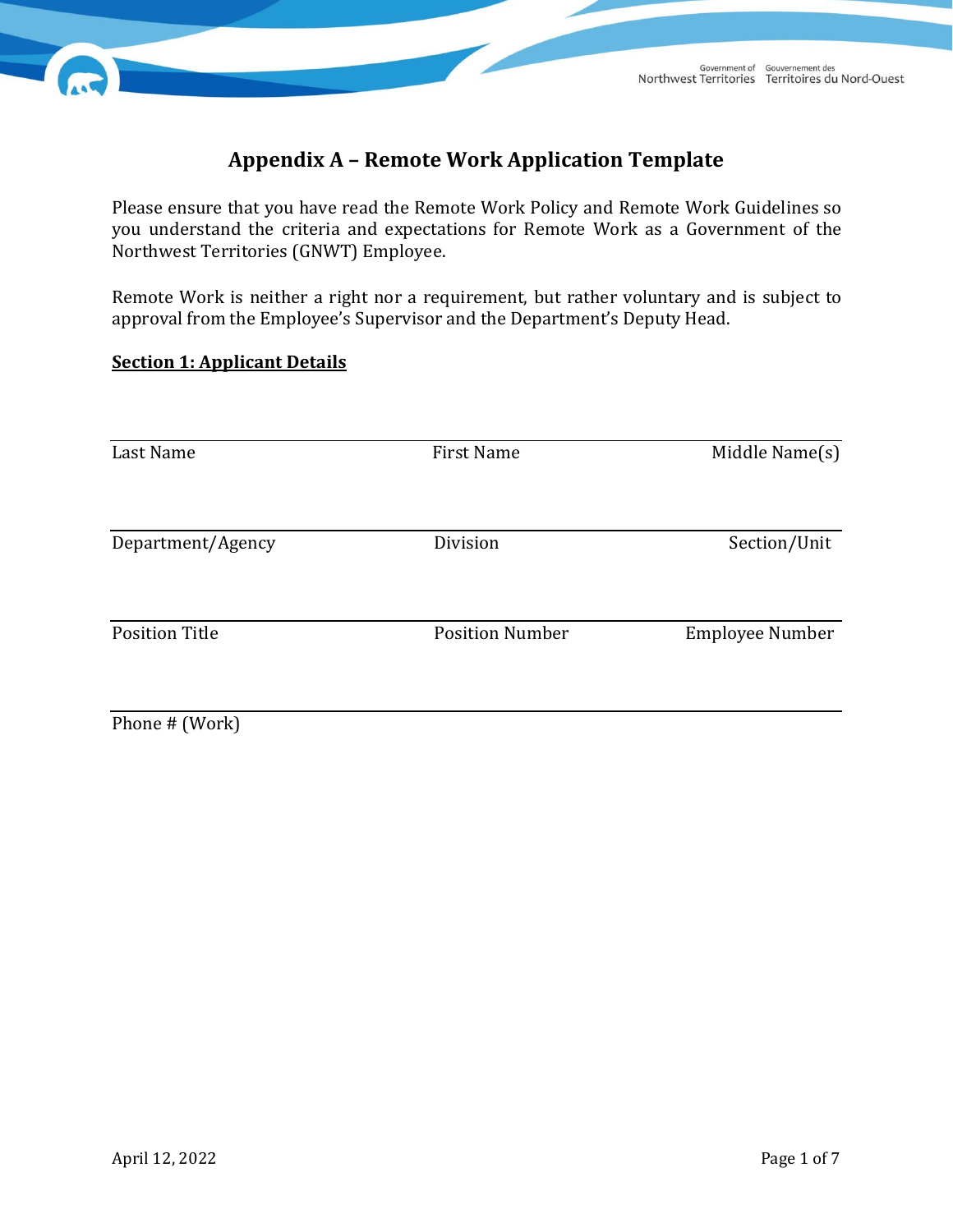

# **Appendix A – Remote Work Application Template**

Please ensure that you have read the Remote Work Policy and Remote Work Guidelines so you understand the criteria and expectations for Remote Work as a Government of the Northwest Territories (GNWT) Employee.

Remote Work is neither a right nor a requirement, but rather voluntary and is subject to approval from the Employee's Supervisor and the Department's Deputy Head.

# **Section 1: Applicant Details**

| Last Name             | <b>First Name</b>      | Middle Name(s)<br>Section/Unit<br><b>Employee Number</b> |  |
|-----------------------|------------------------|----------------------------------------------------------|--|
| Department/Agency     | Division               |                                                          |  |
| <b>Position Title</b> | <b>Position Number</b> |                                                          |  |
| Phone # (Work)        |                        |                                                          |  |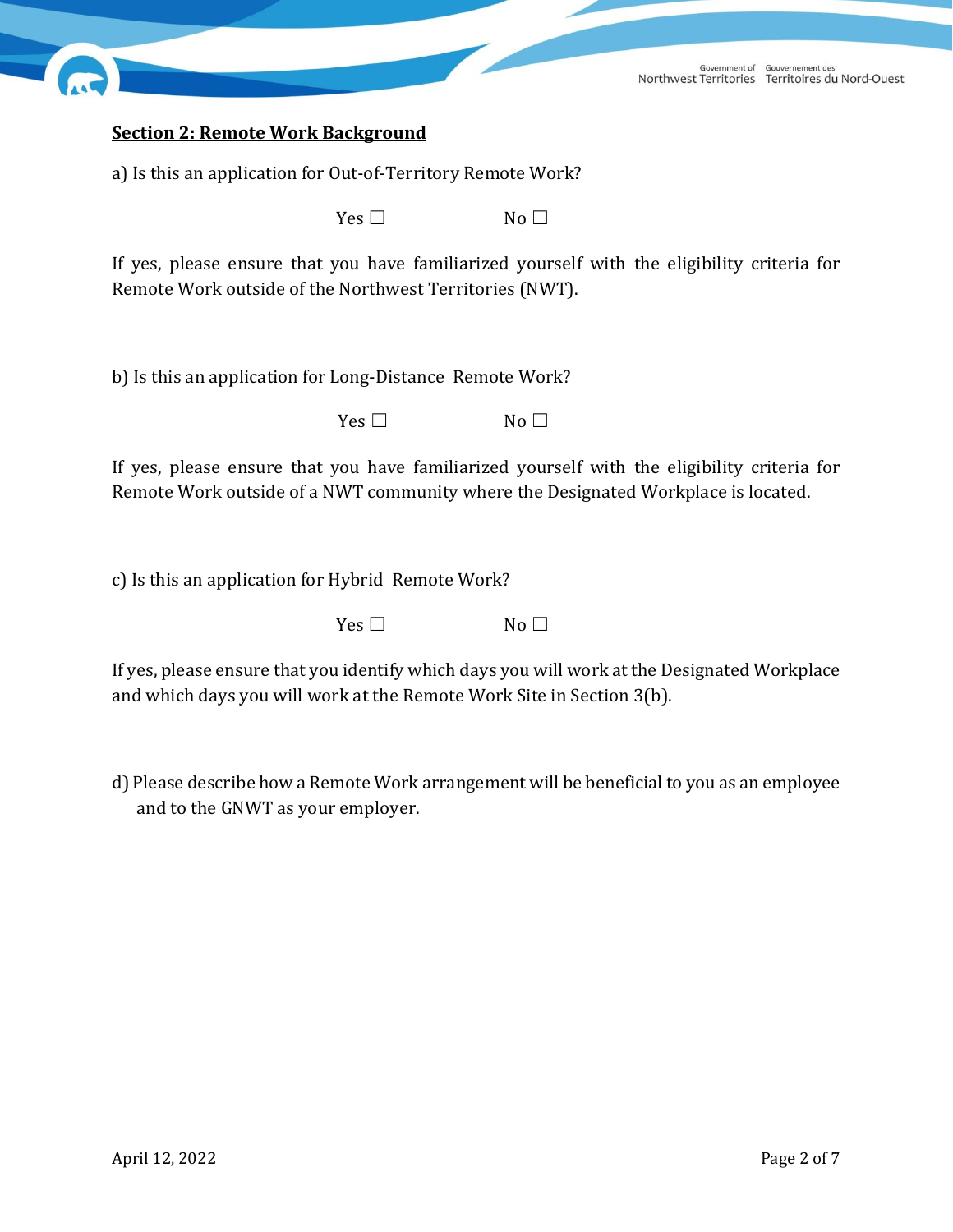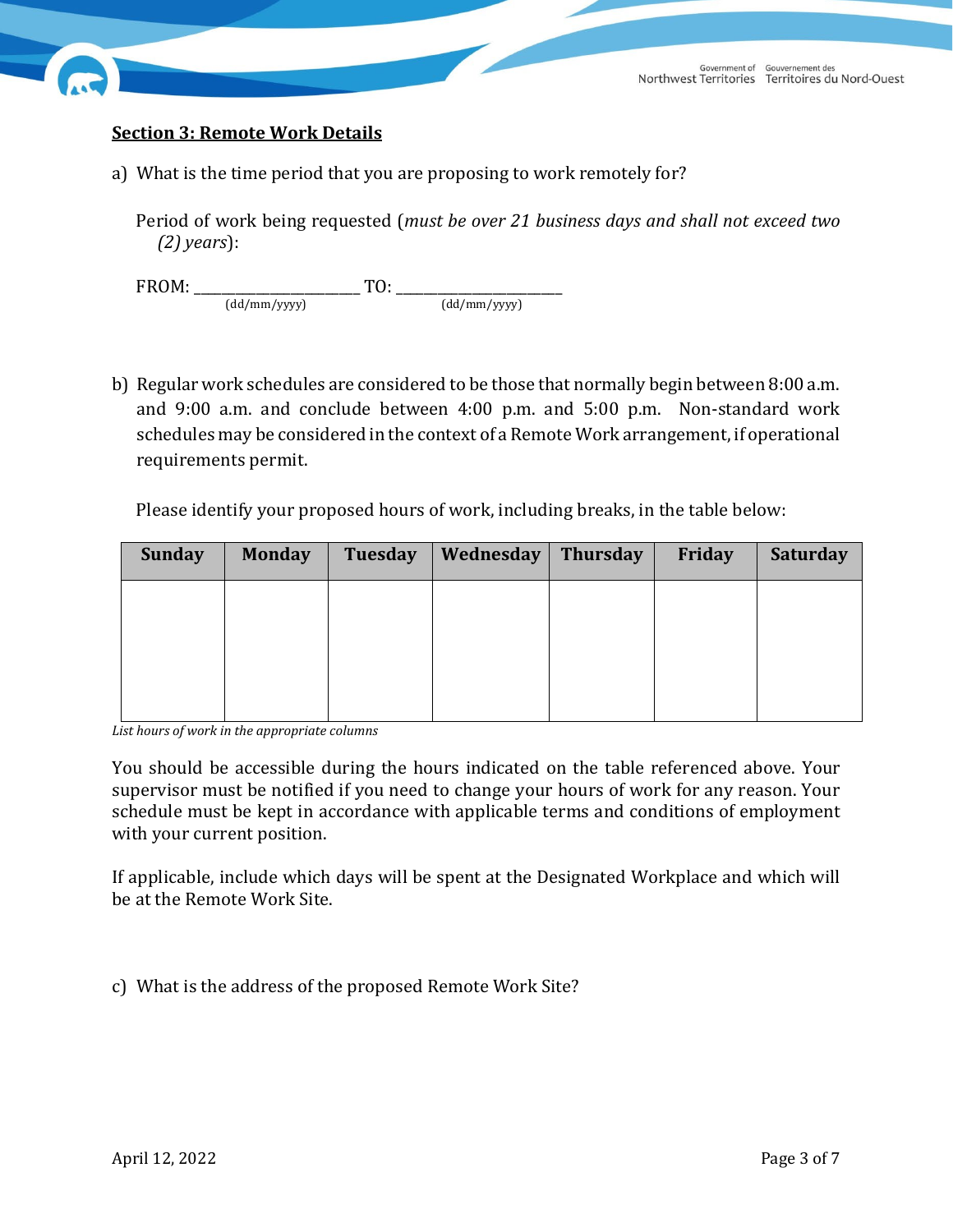

### **Section 3: Remote Work Details**

a) What is the time period that you are proposing to work remotely for?

Period of work being requested (*must be over 21 business days and shall not exceed two (2) years*):

FROM: \_\_\_\_\_\_\_\_\_\_\_\_\_\_\_\_\_\_\_\_\_\_\_\_ TO: \_\_\_\_\_\_\_\_\_\_\_\_\_\_\_\_\_\_\_\_\_\_\_\_ (dd/mm/yyyy) (dd/mm/yyyy)

b) Regular work schedules are considered to be those that normally begin between 8:00 a.m. and 9:00 a.m. and conclude between 4:00 p.m. and 5:00 p.m. Non-standard work schedules may be considered in the context of a Remote Work arrangement, if operational requirements permit.

Please identify your proposed hours of work, including breaks, in the table below:

| <b>Sunday</b> | <b>Monday</b> | Tuesday | Wednesday | <b>Thursday</b> | Friday | <b>Saturday</b> |
|---------------|---------------|---------|-----------|-----------------|--------|-----------------|
|               |               |         |           |                 |        |                 |
|               |               |         |           |                 |        |                 |
|               |               |         |           |                 |        |                 |
|               |               |         |           |                 |        |                 |

*List hours of work in the appropriate columns*

You should be accessible during the hours indicated on the table referenced above. Your supervisor must be notified if you need to change your hours of work for any reason. Your schedule must be kept in accordance with applicable terms and conditions of employment with your current position.

If applicable, include which days will be spent at the Designated Workplace and which will be at the Remote Work Site.

c) What is the address of the proposed Remote Work Site?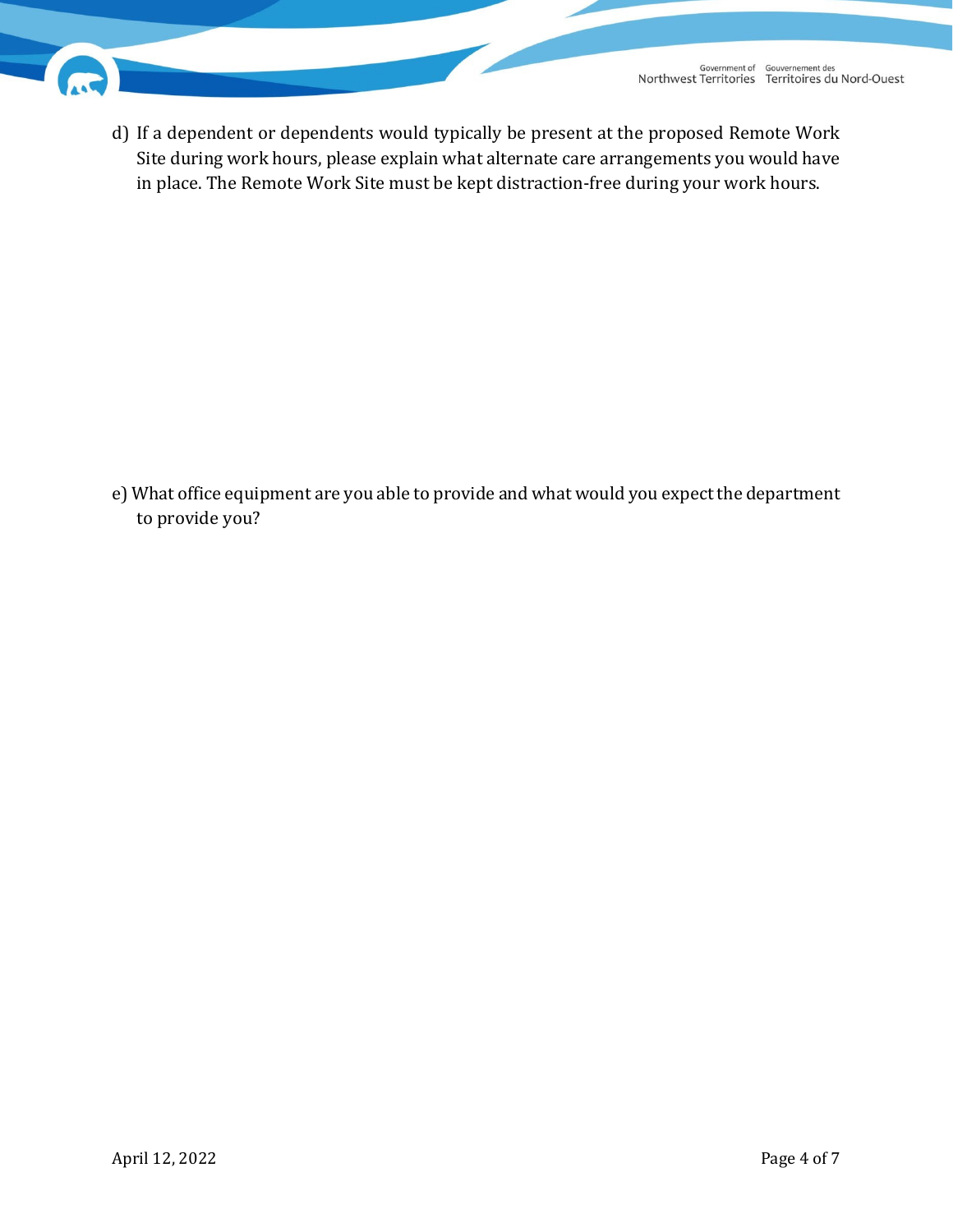

d) If a dependent or dependents would typically be present at the proposed Remote Work Site during work hours, please explain what alternate care arrangements you would have in place. The Remote Work Site must be kept distraction-free during your work hours.

e) What office equipment are you able to provide and what would you expect the department to provide you?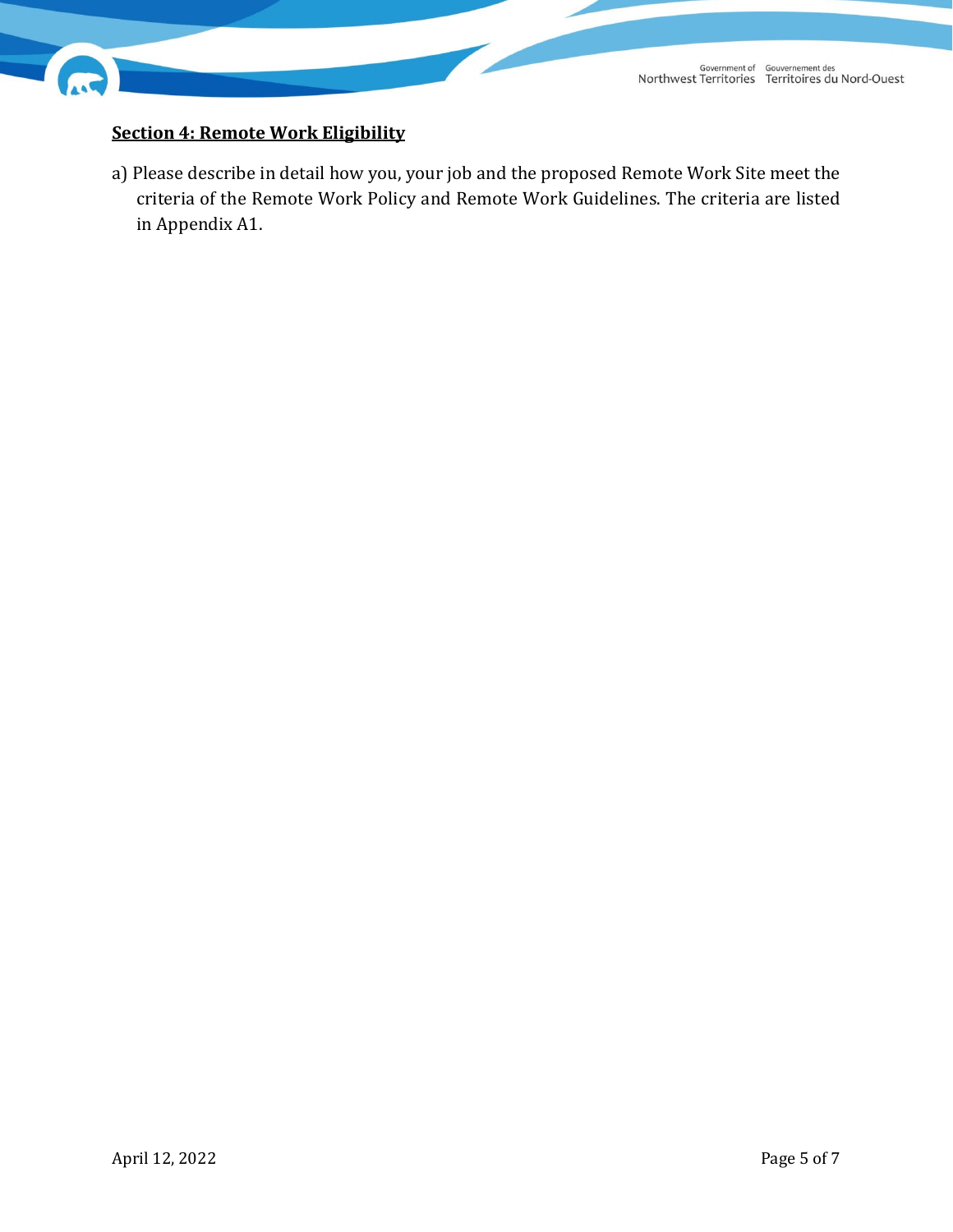

# **Section 4: Remote Work Eligibility**

a) Please describe in detail how you, your job and the proposed Remote Work Site meet the criteria of the Remote Work Policy and Remote Work Guidelines. The criteria are listed in Appendix A1.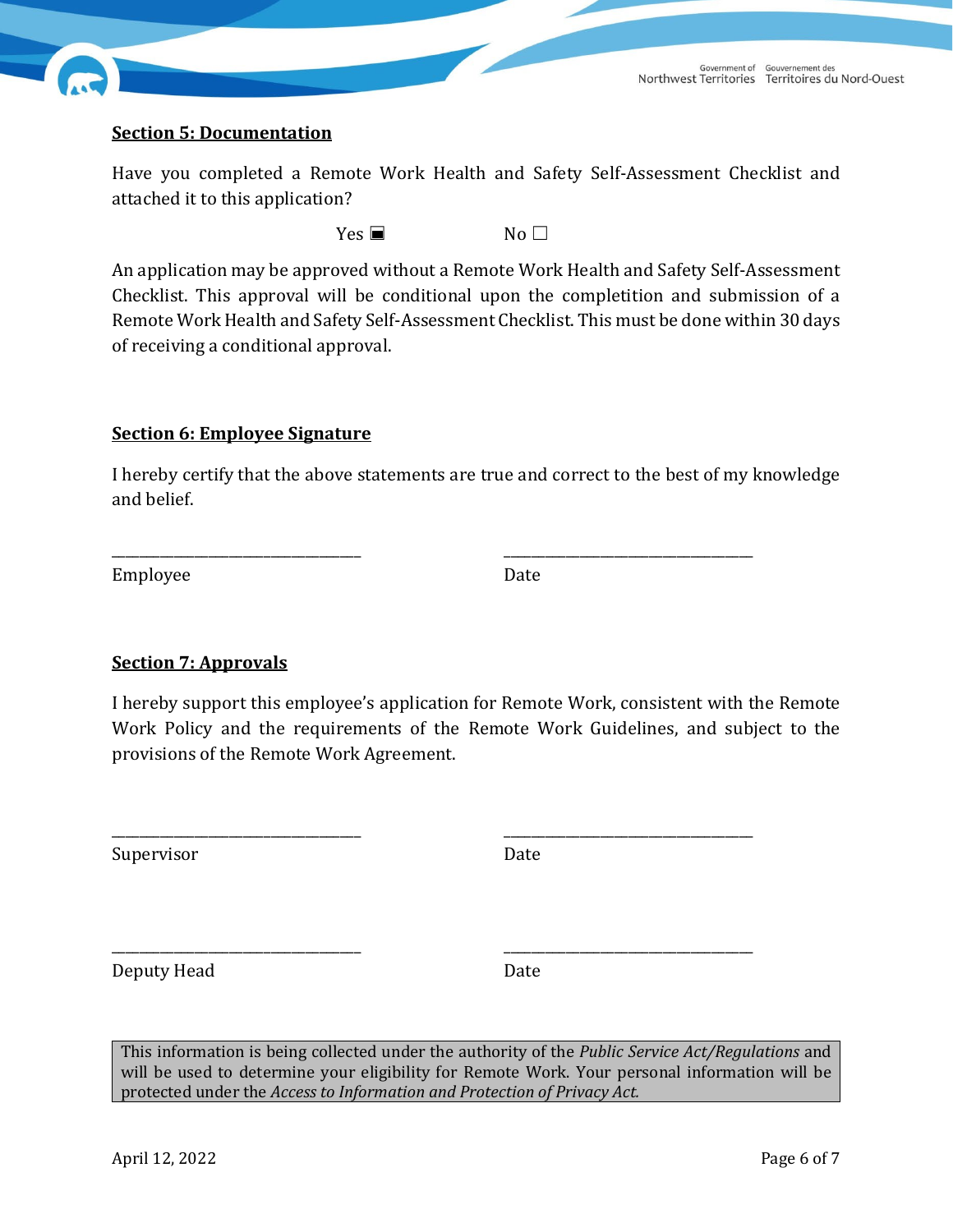

#### **Section 5: Documentation**

Have you completed a Remote Work Health and Safety Self-Assessment Checklist and attached it to this application?

 $Yes \blacksquare$  No  $\square$ 

An application may be approved without a Remote Work Health and Safety Self-Assessment Checklist. This approval will be conditional upon the completition and submission of a Remote Work Health and Safety Self-Assessment Checklist. This must be done within 30 days of receiving a conditional approval.

#### **Section 6: Employee Signature**

I hereby certify that the above statements are true and correct to the best of my knowledge and belief.

\_\_\_\_\_\_\_\_\_\_\_\_\_\_\_\_\_\_\_\_\_\_\_\_\_\_\_\_\_\_\_\_\_\_\_\_ \_\_\_\_\_\_\_\_\_\_\_\_\_\_\_\_\_\_\_\_\_\_\_\_\_\_\_\_\_\_\_\_\_\_\_\_

\_\_\_\_\_\_\_\_\_\_\_\_\_\_\_\_\_\_\_\_\_\_\_\_\_\_\_\_\_\_\_\_\_\_\_\_ \_\_\_\_\_\_\_\_\_\_\_\_\_\_\_\_\_\_\_\_\_\_\_\_\_\_\_\_\_\_\_\_\_\_\_\_

Employee Date

#### **Section 7: Approvals**

I hereby support this employee's application for Remote Work, consistent with the Remote Work Policy and the requirements of the Remote Work Guidelines, and subject to the provisions of the Remote Work Agreement.

Supervisor Date

\_\_\_\_\_\_\_\_\_\_\_\_\_\_\_\_\_\_\_\_\_\_\_\_\_\_\_\_\_\_\_\_\_\_\_\_ \_\_\_\_\_\_\_\_\_\_\_\_\_\_\_\_\_\_\_\_\_\_\_\_\_\_\_\_\_\_\_\_\_\_\_\_ Deputy Head Date

This information is being collected under the authority of the *Public Service Act/Regulations* and will be used to determine your eligibility for Remote Work. Your personal information will be protected under the *Access to Information and Protection of Privacy Act.*